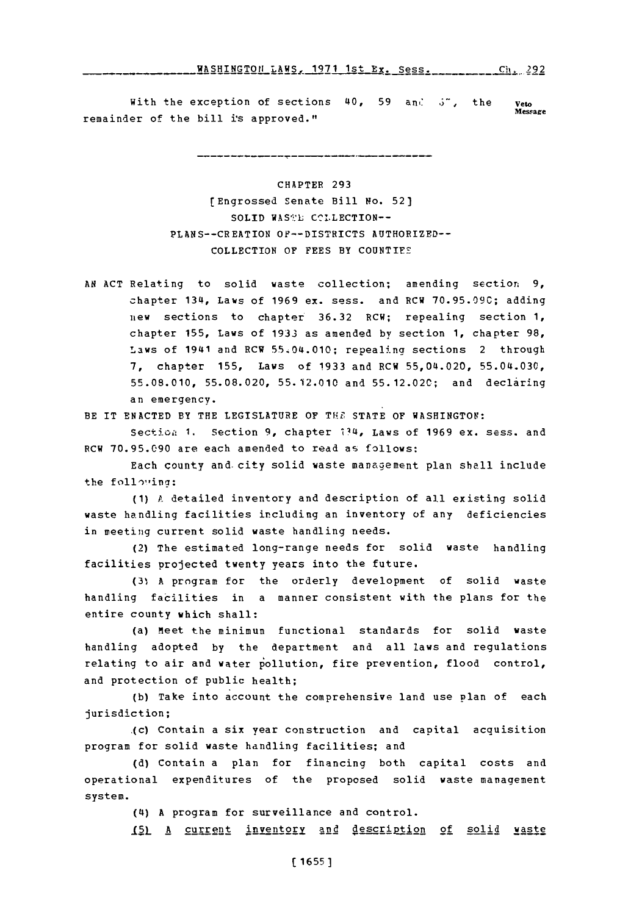## WASHINOTOfI LAWS. 1971 IstEx. Sess. Cli. 292 WASHINGTON **LAWSX1971** 1st Ex. Sess. Cit. **292**

With the exception of sections 40, 59 and 5<sup>-</sup>, the veto remainder of the bill is approved."

CHAPTER **293** [Engrossed Senate Bill No. **52)** SOLID WAS:L **CC!.LECTION--** PLhNS--CREATION OF--DISTRICTS AUTHORIZED-- COLLECTION OF FEES BY COUNTIES

**AN ACT** Relating to solid waste collection; amending section **9,** chapter 134, Laws of **1969** ex. sess. and RCW **70.95.090;** adding  $n$ ew sections to chapter 36.32 RCW; repealing section 1, chapter **155,** Laws of **1933** as amended **by** section **1,** chapter **98,** Laws of 1941 and RCW 55.04.010; repealing sections 2 through **7,** chapter **155,** Laws of **1933** and RCW 55,04.020, **55.04.030, 55.08.010, 55.08.020, 55.12.010** and **55.12.02C;** and declaring an emergency.

BE IT **ENACTED** BY THE **LEGISLATURE** OF THE **STATE** OF **WASHINGTOV:**

Section 1. Section 9, chapter 134, Laws of 1969 ex. sess. and RCW **70.95.090** are each amended to read as follows:

Each county and city solid waste management plan shall include the following:

*(1)* P. detailed inventory and description of all existing solid waste handling facilities including an inventory of any deficiencies in meeting current solid waste handling needs.

(2) The estimated long-range needs for solid waste handling facilities projected twenty years into the future.

**(31, A** program for the orderly development of solid waste handling facilities in a manner consistent with the plans for the entire county which shall:

(a) Meet the minimum functional standards for solid waste handling adopted **by** the department and all laws and regulations relating to air and water pollution, fire prevention, flood control, and protection of public health;

**(b)** Take into account the comprehensive land use Plan of each jurisdiction;

.(c) Contain a six year construction and capital acquisition program for solid waste handling facilities; and

**(d)** Contain a plan for financing both capital costs and operational expenditures of the proposed solid waste management system.

(4) **A** program for surveillance and control.

I51 A current inventory and description of solid waste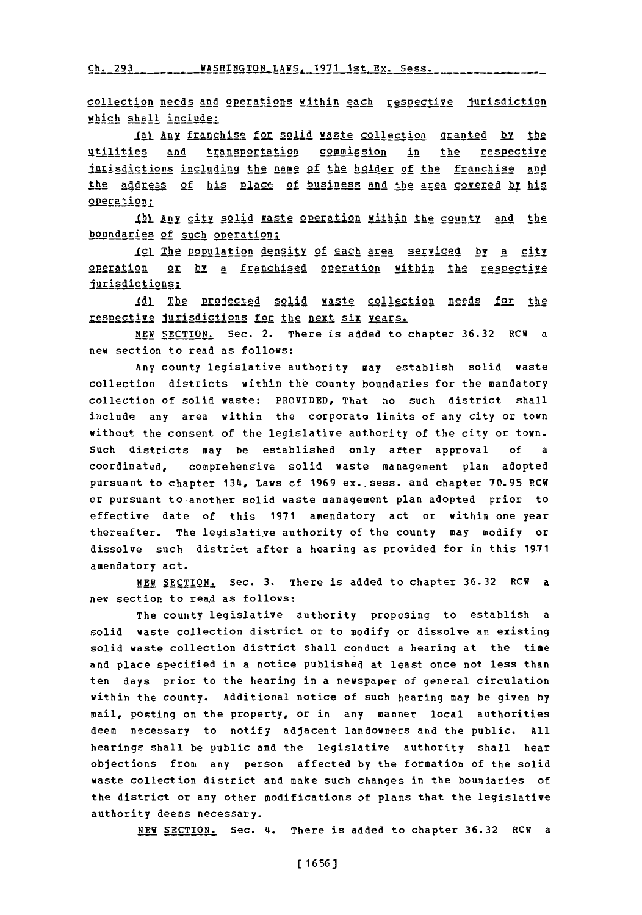Ch. 293 \_\_\_\_\_\_\_\_WASHINGTON LAWS. 1971 1st Bx. Sess.

collection needs and operations within each respective jurisdiction which shall include:

**IgI** Any franchise for solid waste collection. granted **hy:h** utilities and transportation commission in the respective jurisdictions including the name of the holder of the franchise and the address of his place of business and the area covered by his operation:

.ItL **ABI** 2i. solid waste o petion within the county and the boundaries of such operation;

Icl The population density of each area serviced by a city operation or by a franchised operation within the respective jurisdictions;

**Idl** The projected solid waste collection needs for the respective jurisdictions for the next six years.

**NEW** SECTION. Sec. 2. There is added to chapter **36.32** RCW a new section to read as follows:

Any county legislative authority may establish solid waste collection districts within the county boundaries for the mandatory collection of solid waste: PROVIDED, That no such district shall include any area within the corporate limits of any city or town without the consent of the legislative authority of the city or town. such districts may be established only after approval **of** <sup>a</sup> coordinated, comprehensive solid waste management plan adopted pursuant to chapter 134, Laws of 1969 ex. sess. and chapter 70.95 RCW or pursuant to 'another solid waste management plan adopted prior to effective date of this **1971** amendatory act or within one year thereafter. The legislative authority of the county may modify or dissolve such district after a hearing as provided for in this **19.71** amendatory act.

NEW **SECTION.** Sec. **3.** There is added to chapter **36.32** RCW a new section to read as follows:

The county legislative authority proposing to establish a solid waste collection district or to modify or dissolve an existing solid waste collection district shall conduct a hearing at the time and place specified in a notice published at least once not less than ten days prior to the hearing in a newspaper of general circulation within the county. Additional notice of such hearing may be given **by** mail, posting on the property, or in any manner local authorities deem necessary to notify adjacent landowners and the public. **All** hearings shall be public and the legislative authority shall hear objections from any person affected **by** the formation of the solid waste collection district and make such changes in the boundaries of the district or any other modifications of plans that the legislative authority deems necessary.

**NEW** SECTION. Sec. 4. There is added to chapter **36.32** RCW a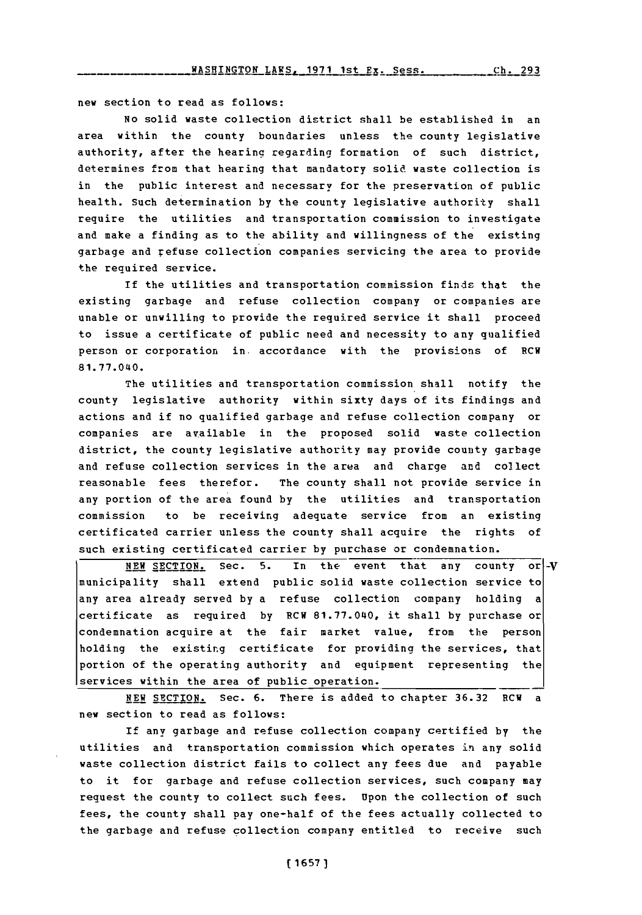new section to read as follows:

No solid waste collection district shall be established in an area within the county boundaries unless the county legislative authority, after the hearing regarding formation of such district, determines from that hearing that mandatory solid waste collection is in the public interest and necessary for the preservation of public health. Such determination **by** the county legislative authority shall require the utilities and transportation commission to investigate and make a finding as to the ability and willingness of the existing garbage and refuse collection companies servicing the area to provide the required service.

If the utilities and transportation commission finds that the existing garbage and refuse collection company or companies are unable or unwilling to provide the required service it shall proceed to issue a certificate of public need and necessity to any qualified person or corporation in. accordance with the provisions of RCW **81.77.040.**

The utilities and transportation commission shall notify the county legislative authority within sixty days of its findings and actions and if no qualified garbage and refuse collection company or companies are available in the proposed solid waste collection district, the county legislative authority may provide county garbage and refuse collection services in the area and charge and collect reasonable fees therefor. The county shall not provide service in any portion of the area found **by** the utilities and transportation commission to be receiving adequate service from an existing certificated carrier unless the county shall acquire the rights of such existing certificated carrier **by** purchase or condemnation.

**NEW SECTION.** Sec. 5. In the event that any county or -V municipality shall extend public solid waste collection service to any area already served **by** a refuse collection company holding a certificate as required **by** RCW **81.77.040,** it shall **by** purchase or condemnation acquire at the fair market value, from the person holding the existing certificate for providing the services, that portion of the operating authority and equipment representing the services within the area of public operation.

**NEW** SECTION. Sec. **6.** There is added to chapter **36.32** RCW a new section to read as follows:

If any garbage and refuse collection company certified **by** the utilities and transportation commission which operates in any solid waste collection district fails to collect any fees due and payable to it for garbage and refuse collection services, such company may request the county to collect such fees. Upon the collection of such fees, the county shall pay one-half of the fees actually collected to the garbage and refuse collection company entitled to receive such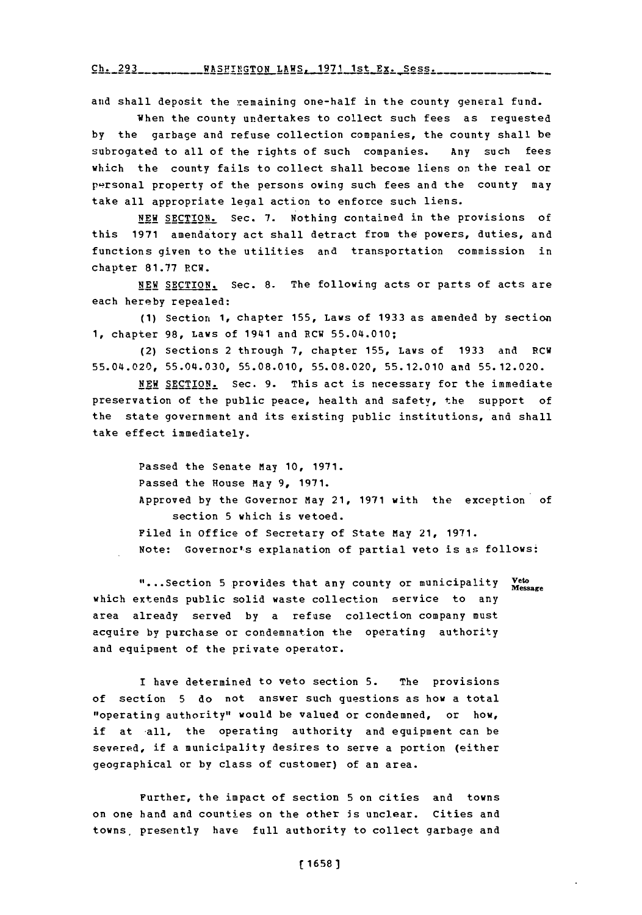**Ch. 293 WASFINGTON** LAWS. **1971** 1st **Ex.** Sess.

and shall deposit the remaining one-half in the county general fund.

When the county undertakes to collect such fees as requested **by** the garbage and refuse collection companies, the county shall be subrogated to all of the rights of such companies. Any such fees which the county fails to collect shall become liens on the real or personal property of the persons owing such fees and the county may take all appropriate leqal action to enforce such liens.

**NEW SECTION.** Sec. 7. Nothing contained in the provisions of this **1971** amendatory act shall detract from the powers, duties, and functions given to the utilities and transportation commission in chapter **81.77** 1RCW.

**NEW** SECTION. Sec. **8.** The following acts or parts of acts are each hereby repealed:

**(1)** Section **1,** chapter **155,** Laws of **1933** as amended **by** section **1,** chapter **98,** Laws of 1941 and RCW 55.04.010;

(2) Sections 2 through **7,** chapter **155,** Laws of **1933** and RCW 55.04.020, **55.04.030, 55.08.010, 55.08.020, 55.12.010** and **55.12.020.**

**NEW** SECTION. Sec. **9.** This act is necessary for the immediate preservation of the public peace, health and safety, the support of the state government and its existing public institutions, and shall take effect immediately.

Passed the Senate May **10, 1971.** Passed the House may **9, 1971.** Approved **by** the Governor May 21, **1971** with the exception of section **5** which is vetoed. Filed in office of Secretary of State May 21, **1971.** Note: Governor's explanation of partial veto is as follows:

"....Section **5** provides that any county or municipality **veto Message** which extends public solid waste collection service to any area already served **by** a refuse collection company must acquire **by** purchase or condemnation the operating authority and equipment of the private operator.

I have determined to veto section **5.** The provisions of section **5** do not answer such questions as how a total "operating authority" would be valued or condemned, or how, if at all, the operating authority and equipment can be severed, if a municipality desires to serve a portion (either geographical or by class of customer) of an area.

Further, the impact of section **5** on cities and towns on one hand and counties on the other is unclear. Cities and towns, presently have full authority to collect garbage and